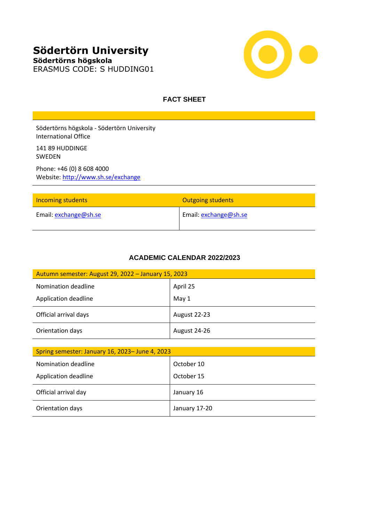# **Södertörn University Södertörns högskola**



# ERASMUS CODE: S HUDDING01

# **FACT SHEET**

Södertörns högskola - Södertörn University International Office

141 89 HUDDINGE SWEDEN

Phone: +46 (0) 8 608 4000 Website:<http://www.sh.se/exchange>

| <b>Incoming students</b> | <b>Outgoing students</b> |
|--------------------------|--------------------------|
| Email: exchange@sh.se    | Email: exchange@sh.se    |

# **ACADEMIC CALENDAR 2022/2023**

| Autumn semester: August 29, 2022 – January 15, 2023 |              |  |
|-----------------------------------------------------|--------------|--|
| Nomination deadline                                 | April 25     |  |
| Application deadline                                | May 1        |  |
| Official arrival days                               | August 22-23 |  |
| Orientation days                                    | August 24-26 |  |

| Spring semester: January 16, 2023- June 4, 2023 |               |  |
|-------------------------------------------------|---------------|--|
| Nomination deadline                             | October 10    |  |
| Application deadline                            | October 15    |  |
| Official arrival day                            | January 16    |  |
| Orientation days                                | January 17-20 |  |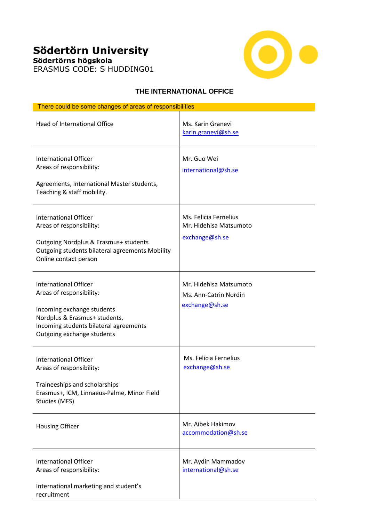# **Södertörn University Södertörns högskola**





### **THE INTERNATIONAL OFFICE**

| There could be some changes of areas of responsibilities                                                                                                                                        |                                                                   |
|-------------------------------------------------------------------------------------------------------------------------------------------------------------------------------------------------|-------------------------------------------------------------------|
| Head of International Office                                                                                                                                                                    | Ms. Karin Granevi<br>karin.granevi@sh.se                          |
| <b>International Officer</b><br>Areas of responsibility:<br>Agreements, International Master students,<br>Teaching & staff mobility.                                                            | Mr. Guo Wei<br>international@sh.se                                |
| <b>International Officer</b><br>Areas of responsibility:<br>Outgoing Nordplus & Erasmus+ students<br>Outgoing students bilateral agreements Mobility<br>Online contact person                   | Ms. Felicia Fernelius<br>Mr. Hidehisa Matsumoto<br>exchange@sh.se |
| <b>International Officer</b><br>Areas of responsibility:<br>Incoming exchange students<br>Nordplus & Erasmus+ students,<br>Incoming students bilateral agreements<br>Outgoing exchange students | Mr. Hidehisa Matsumoto<br>Ms. Ann-Catrin Nordin<br>exchange@sh.se |
| <b>International Officer</b><br>Areas of responsibility:<br>Traineeships and scholarships<br>Erasmus+, ICM, Linnaeus-Palme, Minor Field<br>Studies (MFS)                                        | Ms. Felicia Fernelius<br>exchange@sh.se                           |
| <b>Housing Officer</b>                                                                                                                                                                          | Mr. Aibek Hakimov<br>accommodation@sh.se                          |
| <b>International Officer</b><br>Areas of responsibility:<br>International marketing and student's<br>recruitment                                                                                | Mr. Aydin Mammadov<br>international@sh.se                         |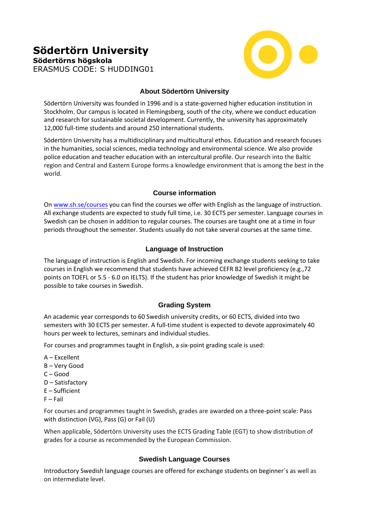# **Södertörn University Södertörns högskola** ERASMUS CODE: S HUDDING01



# **About Södertörn University**

Södertörn University was founded in 1996 and is a state-governed higher education institution in Stockholm. Our campus is located in Flemingsberg, south of the city, where we conduct education and research for sustainable societal development. Currently, the university has approximately 12,000 full-time students and around 250 international students.

Södertörn University has a multidisciplinary and multicultural ethos. Education and research focuses in the humanities, social sciences, media technology and environmental science. We also provide police education and teacher education with an intercultural profile. Our research into the Baltic region and Central and Eastern Europe forms a knowledge environment that is among the best in the world.

#### **Course information**

O[n www.sh.se/courses](http://www.sh.se/courses) you can find the courses we offer with English as the language of instruction. All exchange students are expected to study full time, i.e. 30 ECTS per semester. Language courses in Swedish can be chosen in addition to regular courses. The courses are taught one at a time in four periods throughout the semester. Students usually do not take several courses at the same time.

# **Language of Instruction**

The language of instruction is English and Swedish. For incoming exchange students seeking to take courses in English we recommend that students have achieved CEFR B2 level proficiency (e.g.,72 points on TOEFL or 5.5 - 6.0 on IELTS). If the student has prior knowledge of Swedish it might be possible to take courses in Swedish.

# **Grading System**

An academic year corresponds to 60 Swedish university credits, or 60 ECTS, divided into two semesters with 30 ECTS per semester. A full-time student is expected to devote approximately 40 hours per week to lectures, seminars and individual studies.

For courses and programmes taught in English, a six-point grading scale is used:

- A Excellent
- B Very Good
- C Good
- D Satisfactory
- E Sufficient
- $F F$ ail

For courses and programmes taught in Swedish, grades are awarded on a three-point scale: Pass with distinction (VG), Pass (G) or Fail (U)

When applicable, Södertörn University uses the ECTS Grading Table (EGT) to show distribution of grades for a course as recommended by the European Commission.

#### **Swedish Language Courses**

Introductory Swedish language courses are offered for exchange students on beginner´s as well as on intermediate level.